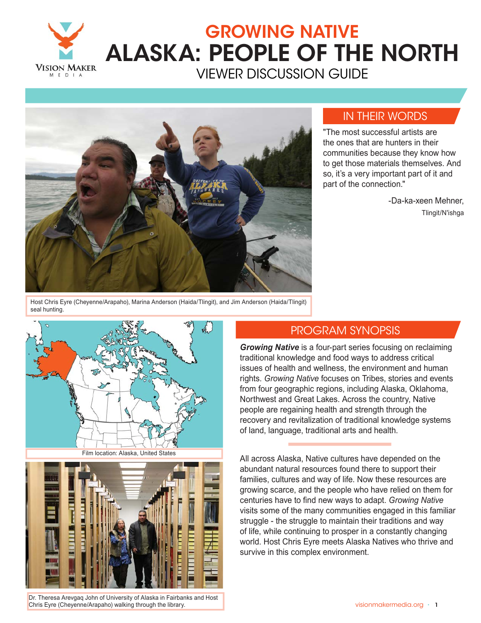



#### VIEWER DISCUSSION GESTERD IN THEIR WORDS

"The most successful artists are the ones that are hunters in their communities because they know how to get those materials themselves. And so, it's a very important part of it and part of the connection."

> -Da-ka-xeen Mehner, Tlingit/N'ishga

Host Chris Eyre (Cheyenne/Arapaho), Marina Anderson (Haida/Tlingit), and Jim Anderson (Haida/Tlingit) seal hunting.





#### PROGRAM SYNOPSIS

*Growing Native* is a four-part series focusing on reclaiming traditional knowledge and food ways to address critical issues of health and wellness, the environment and human rights. *Growing Native* focuses on Tribes, stories and events from four geographic regions, including Alaska, Oklahoma, Northwest and Great Lakes. Across the country, Native people are regaining health and strength through the recovery and revitalization of traditional knowledge systems of land, language, traditional arts and health.

All across Alaska, Native cultures have depended on the abundant natural resources found there to support their families, cultures and way of life. Now these resources are growing scarce, and the people who have relied on them for centuries have to find new ways to adapt. *Growing Native*  visits some of the many communities engaged in this familiar struggle - the struggle to maintain their traditions and way of life, while continuing to prosper in a constantly changing world. Host Chris Eyre meets Alaska Natives who thrive and survive in this complex environment.

Dr. Theresa Arevgaq John of University of Alaska in Fairbanks and Host Chris Eyre (Cheyenne/Arapaho) walking through the library.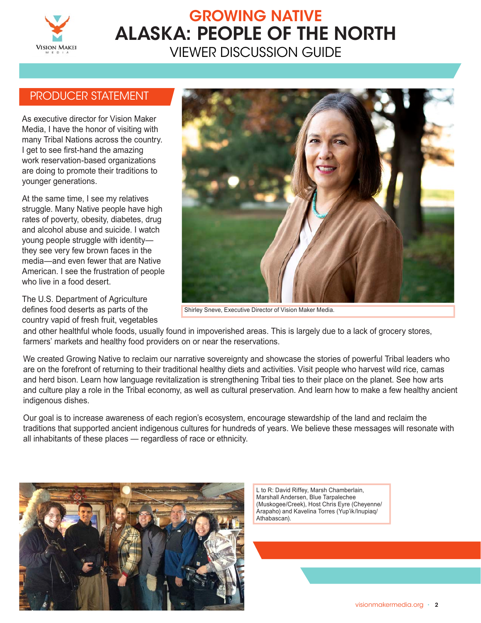

#### PRODUCER STATEMENT

As executive director for Vision Maker Media, I have the honor of visiting with many Tribal Nations across the country. I get to see first-hand the amazing work reservation-based organizations are doing to promote their traditions to younger generations.

At the same time, I see my relatives struggle. Many Native people have high rates of poverty, obesity, diabetes, drug and alcohol abuse and suicide. I watch young people struggle with identity they see very few brown faces in the media—and even fewer that are Native American. I see the frustration of people who live in a food desert.

The U.S. Department of Agriculture defines food deserts as parts of the country vapid of fresh fruit, vegetables



Shirley Sneve, Executive Director of Vision Maker Media.

and other healthful whole foods, usually found in impoverished areas. This is largely due to a lack of grocery stores, farmers' markets and healthy food providers on or near the reservations.

We created Growing Native to reclaim our narrative sovereignty and showcase the stories of powerful Tribal leaders who are on the forefront of returning to their traditional healthy diets and activities. Visit people who harvest wild rice, camas and herd bison. Learn how language revitalization is strengthening Tribal ties to their place on the planet. See how arts and culture play a role in the Tribal economy, as well as cultural preservation. And learn how to make a few healthy ancient indigenous dishes.

Our goal is to increase awareness of each region's ecosystem, encourage stewardship of the land and reclaim the traditions that supported ancient indigenous cultures for hundreds of years. We believe these messages will resonate with all inhabitants of these places — regardless of race or ethnicity.



L to R: David Riffey, Marsh Chamberlain, Marshall Andersen, Blue Tarpalechee (Muskogee/Creek), Host Chris Eyre (Cheyenne/ Arapaho) and Kavelina Torres (Yup'ik/Inupiaq/ Athabascan).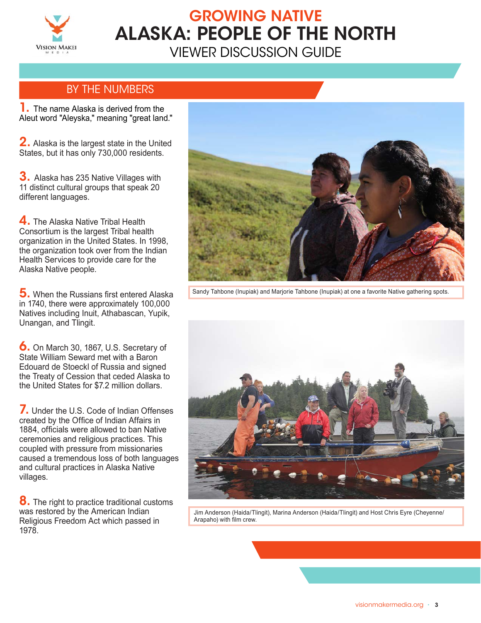

### BY THE NUMBERS

**1.** The name Alaska is derived from the Aleut word "Aleyska," meaning "great land."

2. Alaska is the largest state in the United States, but it has only 730,000 residents.

**3.** Alaska has 235 Native Villages with 11 distinct cultural groups that speak 20 different languages.

4. The Alaska Native Tribal Health Consortium is the largest Tribal health organization in the United States. In 1998, the organization took over from the Indian Health Services to provide care for the Alaska Native people.

5. When the Russians first entered Alaska in 1740, there were approximately 100,000 Natives including Inuit, Athabascan, Yupik, Unangan, and Tlingit.

6. On March 30, 1867, U.S. Secretary of State William Seward met with a Baron Edouard de Stoeckl of Russia and signed the Treaty of Cession that ceded Alaska to the United States for \$7.2 million dollars.

7. Under the U.S. Code of Indian Offenses created by the Office of Indian Affairs in 1884, officials were allowed to ban Native ceremonies and religious practices. This coupled with pressure from missionaries caused a tremendous loss of both languages and cultural practices in Alaska Native villages.

**8.** The right to practice traditional customs was restored by the American Indian Religious Freedom Act which passed in 1978.



Sandy Tahbone (Inupiak) and Marjorie Tahbone (Inupiak) at one a favorite Native gathering spots.



Jim Anderson (Haida/Tlingit), Marina Anderson (Haida/Tlingit) and Host Chris Eyre (Cheyenne/ Arapaho) with film crew.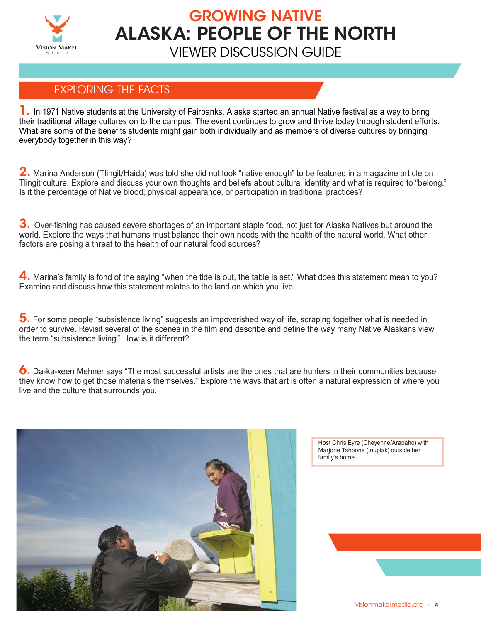

### EXPLORING THE FACTS

1. In 1971 Native students at the University of Fairbanks, Alaska started an annual Native festival as a way to bring their traditional village cultures on to the campus. The event continues to grow and thrive today through student efforts. What are some of the benefits students might gain both individually and as members of diverse cultures by bringing everybody together in this way?

2. Marina Anderson (Tlingit/Haida) was told she did not look "native enough" to be featured in a magazine article on Tlingit culture. Explore and discuss your own thoughts and beliefs about cultural identity and what is required to "belong." Is it the percentage of Native blood, physical appearance, or participation in traditional practices?

3. Over-fishing has caused severe shortages of an important staple food, not just for Alaska Natives but around the world. Explore the ways that humans must balance their own needs with the health of the natural world. What other factors are posing a threat to the health of our natural food sources?

4. Marina's family is fond of the saying "when the tide is out, the table is set." What does this statement mean to you? Examine and discuss how this statement relates to the land on which you live.

5. For some people "subsistence living" suggests an impoverished way of life, scraping together what is needed in order to survive. Revisit several of the scenes in the film and describe and define the way many Native Alaskans view the term "subsistence living." How is it different?

6. Da-ka-xeen Mehner says "The most successful artists are the ones that are hunters in their communities because they know how to get those materials themselves." Explore the ways that art is often a natural expression of where you live and the culture that surrounds you.



Host Chris Eyre (Cheyenne/Arapaho) with Marjorie Tahbone (Inupiak) outside her family's home.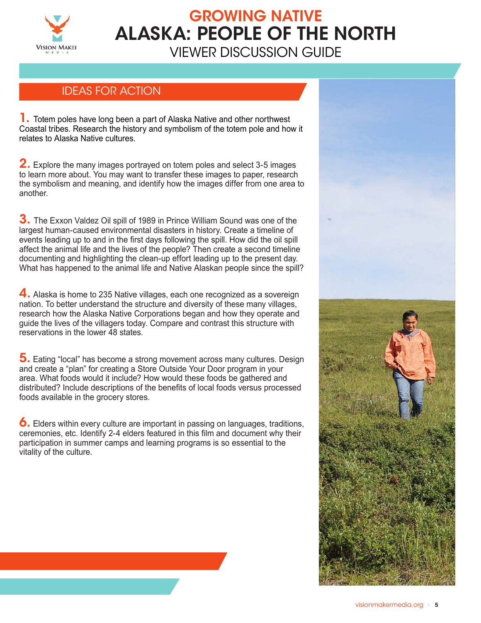

### IDEAS FOR ACTION

**1.** Totem poles have long been a part of Alaska Native and other northwest Coastal tribes. Research the history and symbolism of the totem pole and how it relates to Alaska Native cultures.

2. Explore the many images portrayed on totem poles and select 3-5 images to learn more about. You may want to transfer these images to paper, research the symbolism and meaning, and identify how the images differ from one area to another.

3. The Exxon Valdez Oil spill of 1989 in Prince William Sound was one of the largest human-caused environmental disasters in history. Create a timeline of events leading up to and in the first days following the spill. How did the oil spill affect the animal life and the lives of the people? Then create a second timeline documenting and highlighting the clean-up effort leading up to the present day. What has happened to the animal life and Native Alaskan people since the spill?

4. Alaska is home to 235 Native villages, each one recognized as a sovereign nation. To better understand the structure and diversity of these many villages, research how the Alaska Native Corporations began and how they operate and guide the lives of the villagers today. Compare and contrast this structure with reservations in the lower 48 states.

5. Eating "local" has become a strong movement across many cultures. Design and create a "plan" for creating a Store Outside Your Door program in your area. What foods would it include? How would these foods be gathered and distributed? Include descriptions of the benefits of local foods versus processed foods available in the grocery stores.

**6.** Elders within every culture are important in passing on languages, traditions, ceremonies, etc. Identify 2-4 elders featured in this film and document why their participation in summer camps and learning programs is so essential to the vitality of the culture.